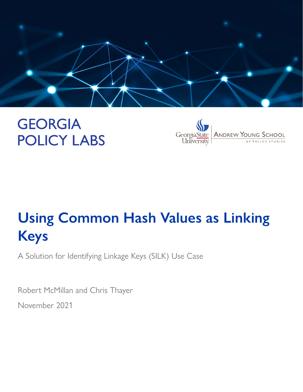

# **GEORGIA POLICY LABS**



# **Using Common Hash Values as Linking Keys**

A Solution for Identifying Linkage Keys (SILK) Use Case

Robert McMillan and Chris Thayer November 2021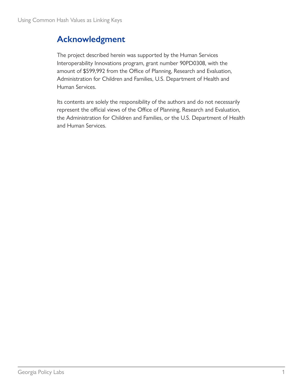# **Acknowledgment**

The project described herein was supported by the Human Services Interoperability Innovations program, grant number 90PD0308, with the amount of \$599,992 from the Office of Planning, Research and Evaluation, Administration for Children and Families, U.S. Department of Health and Human Services.

Its contents are solely the responsibility of the authors and do not necessarily represent the official views of the Office of Planning, Research and Evaluation, the Administration for Children and Families, or the U.S. Department of Health and Human Services.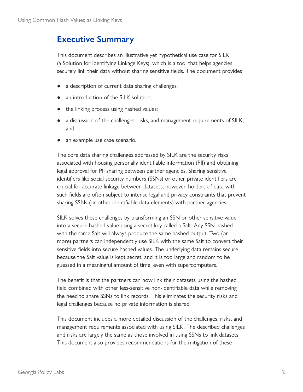## **Executive Summary**

This document describes an illustrative yet hypothetical use case for SILK (a Solution for Identifying Linkage Keys), which is a tool that helps agencies securely link their data without sharing sensitive fields. The document provides

- a description of current data sharing challenges;
- an introduction of the SILK solution;
- the linking process using hashed values;
- a discussion of the challenges, risks, and management requirements of SILK; and
- an example use case scenario.

The core data sharing challenges addressed by SILK are the security risks associated with housing personally identifiable information (PII) and obtaining legal approval for PII sharing between partner agencies. Sharing sensitive identifiers like social security numbers (SSNs) or other private identifiers are crucial for accurate linkage between datasets; however, holders of data with such fields are often subject to intense legal and privacy constraints that prevent sharing SSNs (or other identifiable data elements) with partner agencies.

SILK solves these challenges by transforming an SSN or other sensitive value into a secure hashed value using a secret key called a Salt. Any SSN hashed with the same Salt will always produce the same hashed output. Two (or more) partners can independently use SILK with the same Salt to convert their sensitive fields into secure hashed values. The underlying data remains secure because the Salt value is kept secret, and it is too large and random to be guessed in a meaningful amount of time, even with supercomputers.

The benefit is that the partners can now link their datasets using the hashed field combined with other less-sensitive non-identifiable data while removing the need to share SSNs to link records. This eliminates the security risks and legal challenges because no private information is shared.

This document includes a more detailed discussion of the challenges, risks, and management requirements associated with using SILK. The described challenges and risks are largely the same as those involved in using SSNs to link datasets. This document also provides recommendations for the mitigation of these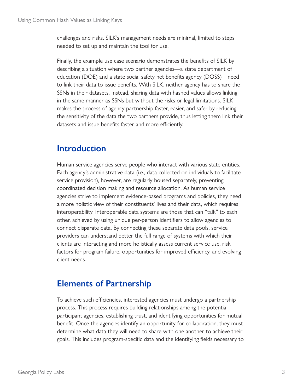challenges and risks. SILK's management needs are minimal, limited to steps needed to set up and maintain the tool for use.

Finally, the example use case scenario demonstrates the benefits of SILK by describing a situation where two partner agencies—a state department of education (DOE) and a state social safety net benefits agency (DOSS)—need to link their data to issue benefits. With SILK, neither agency has to share the SSNs in their datasets. Instead, sharing data with hashed values allows linking in the same manner as SSNs but without the risks or legal limitations. SILK makes the process of agency partnership faster, easier, and safer by reducing the sensitivity of the data the two partners provide, thus letting them link their datasets and issue benefits faster and more efficiently.

## **Introduction**

Human service agencies serve people who interact with various state entities. Each agency's administrative data (i.e., data collected on individuals to facilitate service provision), however, are regularly housed separately, preventing coordinated decision making and resource allocation. As human service agencies strive to implement evidence-based programs and policies, they need a more holistic view of their constituents' lives and their data, which requires interoperability. Interoperable data systems are those that can "talk" to each other, achieved by using unique per-person identifiers to allow agencies to connect disparate data. By connecting these separate data pools, service providers can understand better the full range of systems with which their clients are interacting and more holistically assess current service use, risk factors for program failure, opportunities for improved efficiency, and evolving client needs.

# **Elements of Partnership**

To achieve such efficiencies, interested agencies must undergo a partnership process. This process requires building relationships among the potential participant agencies, establishing trust, and identifying opportunities for mutual benefit. Once the agencies identify an opportunity for collaboration, they must determine what data they will need to share with one another to achieve their goals. This includes program-specific data and the identifying fields necessary to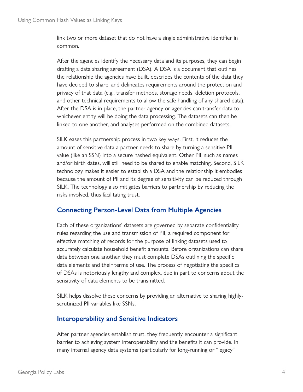link two or more dataset that do not have a single administrative identifier in common.

After the agencies identify the necessary data and its purposes, they can begin drafting a data sharing agreement (DSA). A DSA is a document that outlines the relationship the agencies have built, describes the contents of the data they have decided to share, and delineates requirements around the protection and privacy of that data (e.g., transfer methods, storage needs, deletion protocols, and other technical requirements to allow the safe handling of any shared data). After the DSA is in place, the partner agency or agencies can transfer data to whichever entity will be doing the data processing. The datasets can then be linked to one another, and analyses performed on the combined datasets.

SILK eases this partnership process in two key ways. First, it reduces the amount of sensitive data a partner needs to share by turning a sensitive PII value (like an SSN) into a secure hashed equivalent. Other PII, such as names and/or birth dates, will still need to be shared to enable matching. Second, SILK technology makes it easier to establish a DSA and the relationship it embodies because the amount of PII and its degree of sensitivity can be reduced through SILK. The technology also mitigates barriers to partnership by reducing the risks involved, thus facilitating trust.

### **Connecting Person-Level Data from Multiple Agencies**

Each of these organizations' datasets are governed by separate confidentiality rules regarding the use and transmission of PII, a required component for effective matching of records for the purpose of linking datasets used to accurately calculate household benefit amounts. Before organizations can share data between one another, they must complete DSAs outlining the specific data elements and their terms of use. The process of negotiating the specifics of DSAs is notoriously lengthy and complex, due in part to concerns about the sensitivity of data elements to be transmitted.

SILK helps dissolve these concerns by providing an alternative to sharing highlyscrutinized PII variables like SSNs.

#### **Interoperability and Sensitive Indicators**

After partner agencies establish trust, they frequently encounter a significant barrier to achieving system interoperability and the benefits it can provide. In many internal agency data systems (particularly for long-running or "legacy"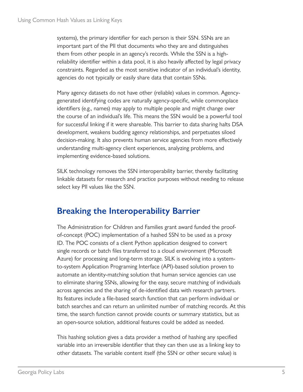systems), the primary identifier for each person is their SSN. SSNs are an important part of the PII that documents who they are and distinguishes them from other people in an agency's records. While the SSN is a highreliability identifier within a data pool, it is also heavily affected by legal privacy constraints. Regarded as the most sensitive indicator of an individual's identity, agencies do not typically or easily share data that contain SSNs.

Many agency datasets do not have other (reliable) values in common. Agencygenerated identifying codes are naturally agency-specific, while commonplace identifiers (e.g., names) may apply to multiple people and might change over the course of an individual's life. This means the SSN would be a powerful tool for successful linking if it were shareable. This barrier to data sharing halts DSA development, weakens budding agency relationships, and perpetuates siloed decision-making. It also prevents human service agencies from more effectively understanding multi-agency client experiences, analyzing problems, and implementing evidence-based solutions.

SILK technology removes the SSN interoperability barrier, thereby facilitating linkable datasets for research and practice purposes without needing to release select key PII values like the SSN.

# **Breaking the Interoperability Barrier**

The Administration for Children and Families grant award funded the proofof-concept (POC) implementation of a hashed SSN to be used as a proxy ID. The POC consists of a client Python application designed to convert single records or batch files transferred to a cloud environment (Microsoft Azure) for processing and long-term storage. SILK is evolving into a systemto-system Application Programing Interface (API)-based solution proven to automate an identity-matching solution that human service agencies can use to eliminate sharing SSNs, allowing for the easy, secure matching of individuals across agencies and the sharing of de-identified data with research partners. Its features include a file-based search function that can perform individual or batch searches and can return an unlimited number of matching records. At this time, the search function cannot provide counts or summary statistics, but as an open-source solution, additional features could be added as needed.

This hashing solution gives a data provider a method of hashing any specified variable into an irreversible identifier that they can then use as a linking key to other datasets. The variable content itself (the SSN or other secure value) is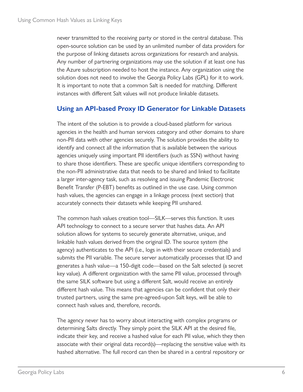never transmitted to the receiving party or stored in the central database. This open-source solution can be used by an unlimited number of data providers for the purpose of linking datasets across organizations for research and analysis. Any number of partnering organizations may use the solution if at least one has the Azure subscription needed to host the instance. Any organization using the solution does not need to involve the Georgia Policy Labs (GPL) for it to work. It is important to note that a common Salt is needed for matching. Different instances with different Salt values will not produce linkable datasets.

#### **Using an API-based Proxy ID Generator for Linkable Datasets**

The intent of the solution is to provide a cloud-based platform for various agencies in the health and human services category and other domains to share non-PII data with other agencies securely. The solution provides the ability to identify and connect all the information that is available between the various agencies uniquely using important PII identifiers (such as SSN) without having to share those identifiers. These are specific unique identifiers corresponding to the non-PII administrative data that needs to be shared and linked to facilitate a larger inter-agency task, such as resolving and issuing Pandemic Electronic Benefit Transfer (P-EBT) benefits as outlined in the use case. Using common hash values, the agencies can engage in a linkage process (next section) that accurately connects their datasets while keeping PII unshared.

The common hash values creation tool—SILK—serves this function. It uses API technology to connect to a secure server that hashes data. An API solution allows for systems to securely generate alternative, unique, and linkable hash values derived from the original ID. The source system (the agency) authenticates to the API (i.e., logs in with their secure credentials) and submits the PII variable. The secure server automatically processes that ID and generates a hash value—a 150-digit code—based on the Salt selected (a secret key value). A different organization with the same PII value, processed through the same SILK software but using a different Salt, would receive an entirely different hash value. This means that agencies can be confident that only their trusted partners, using the same pre-agreed-upon Salt keys, will be able to connect hash values and, therefore, records.

The agency never has to worry about interacting with complex programs or determining Salts directly. They simply point the SILK API at the desired file, indicate their key, and receive a hashed value for each PII value, which they then associate with their original data record(s)—replacing the sensitive value with its hashed alternative. The full record can then be shared in a central repository or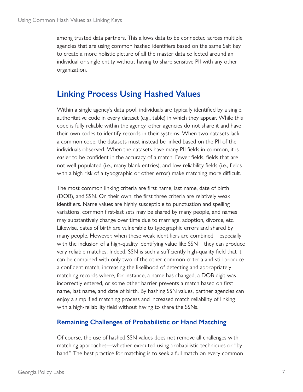among trusted data partners. This allows data to be connected across multiple agencies that are using common hashed identifiers based on the same Salt key to create a more holistic picture of all the master data collected around an individual or single entity without having to share sensitive PII with any other organization.

# **Linking Process Using Hashed Values**

Within a single agency's data pool, individuals are typically identified by a single, authoritative code in every dataset (e.g., table) in which they appear. While this code is fully reliable within the agency, other agencies do not share it and have their own codes to identify records in their systems. When two datasets lack a common code, the datasets must instead be linked based on the PII of the individuals observed. When the datasets have many PII fields in common, it is easier to be confident in the accuracy of a match. Fewer fields, fields that are not well-populated (i.e., many blank entries), and low-reliability fields (i.e., fields with a high risk of a typographic or other error) make matching more difficult.

The most common linking criteria are first name, last name, date of birth (DOB), and SSN. On their own, the first three criteria are relatively weak identifiers. Name values are highly susceptible to punctuation and spelling variations, common first-last sets may be shared by many people, and names may substantively change over time due to marriage, adoption, divorce, etc. Likewise, dates of birth are vulnerable to typographic errors and shared by many people. However, when these weak identifiers are combined—especially with the inclusion of a high-quality identifying value like SSN—they can produce very reliable matches. Indeed, SSN is such a sufficiently high-quality field that it can be combined with only two of the other common criteria and still produce a confident match, increasing the likelihood of detecting and appropriately matching records where, for instance, a name has changed, a DOB digit was incorrectly entered, or some other barrier prevents a match based on first name, last name, and date of birth. By hashing SSN values, partner agencies can enjoy a simplified matching process and increased match reliability of linking with a high-reliability field without having to share the SSNs.

### **Remaining Challenges of Probabilistic or Hand Matching**

Of course, the use of hashed SSN values does not remove all challenges with matching approaches—whether executed using probabilistic techniques or "by hand." The best practice for matching is to seek a full match on every common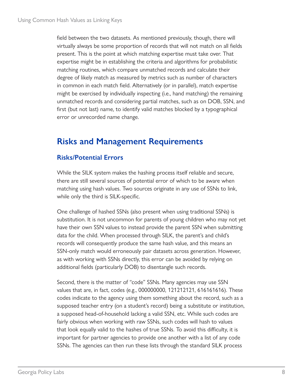field between the two datasets. As mentioned previously, though, there will virtually always be some proportion of records that will not match on all fields present. This is the point at which matching expertise must take over. That expertise might be in establishing the criteria and algorithms for probabilistic matching routines, which compare unmatched records and calculate their degree of likely match as measured by metrics such as number of characters in common in each match field. Alternatively (or in parallel), match expertise might be exercised by individually inspecting (i.e., hand matching) the remaining unmatched records and considering partial matches, such as on DOB, SSN, and first (but not last) name, to identify valid matches blocked by a typographical error or unrecorded name change.

# **Risks and Management Requirements**

### **Risks/Potential Errors**

While the SILK system makes the hashing process itself reliable and secure, there are still several sources of potential error of which to be aware when matching using hash values. Two sources originate in any use of SSNs to link, while only the third is SILK-specific.

One challenge of hashed SSNs (also present when using traditional SSNs) is substitution. It is not uncommon for parents of young children who may not yet have their own SSN values to instead provide the parent SSN when submitting data for the child. When processed through SILK, the parent's and child's records will consequently produce the same hash value, and this means an SSN-only match would erroneously pair datasets across generation. However, as with working with SSNs directly, this error can be avoided by relying on additional fields (particularly DOB) to disentangle such records.

Second, there is the matter of "code" SSNs. Many agencies may use SSN values that are, in fact, codes (e.g., 000000000, 121212121, 616161616). These codes indicate to the agency using them something about the record, such as a supposed teacher entry (on a student's record) being a substitute or institution, a supposed head-of-household lacking a valid SSN, etc. While such codes are fairly obvious when working with raw SSNs, such codes will hash to values that look equally valid to the hashes of true SSNs. To avoid this difficulty, it is important for partner agencies to provide one another with a list of any code SSNs. The agencies can then run these lists through the standard SILK process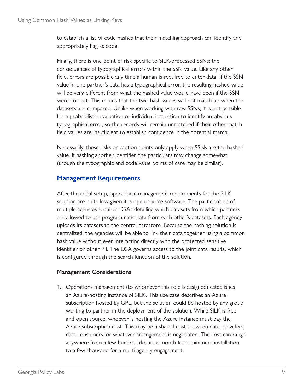to establish a list of code hashes that their matching approach can identify and appropriately flag as code.

Finally, there is one point of risk specific to SILK-processed SSNs: the consequences of typographical errors within the SSN value. Like any other field, errors are possible any time a human is required to enter data. If the SSN value in one partner's data has a typographical error, the resulting hashed value will be very different from what the hashed value would have been if the SSN were correct. This means that the two hash values will not match up when the datasets are compared. Unlike when working with raw SSNs, it is not possible for a probabilistic evaluation or individual inspection to identify an obvious typographical error, so the records will remain unmatched if their other match field values are insufficient to establish confidence in the potential match.

Necessarily, these risks or caution points only apply when SSNs are the hashed value. If hashing another identifier, the particulars may change somewhat (though the typographic and code value points of care may be similar).

### **Management Requirements**

After the initial setup, operational management requirements for the SILK solution are quite low given it is open-source software. The participation of multiple agencies requires DSAs detailing which datasets from which partners are allowed to use programmatic data from each other's datasets. Each agency uploads its datasets to the central datastore. Because the hashing solution is centralized, the agencies will be able to link their data together using a common hash value without ever interacting directly with the protected sensitive identifier or other PII. The DSA governs access to the joint data results, which is configured through the search function of the solution.

#### **Management Considerations**

1. Operations management (to whomever this role is assigned) establishes an Azure-hosting instance of SILK. This use case describes an Azure subscription hosted by GPL, but the solution could be hosted by any group wanting to partner in the deployment of the solution. While SILK is free and open source, whoever is hosting the Azure instance must pay the Azure subscription cost. This may be a shared cost between data providers, data consumers, or whatever arrangement is negotiated. The cost can range anywhere from a few hundred dollars a month for a minimum installation to a few thousand for a multi-agency engagement.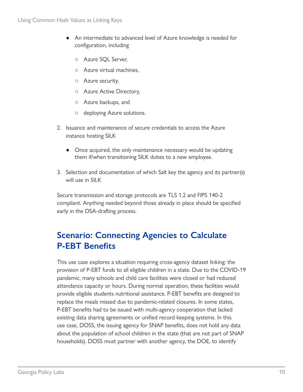- An intermediate to advanced level of Azure knowledge is needed for configuration, including
	- Azure SQL Server,
	- Azure virtual machines,
	- Azure security,
	- Azure Active Directory,
	- Azure backups, and
	- deploying Azure solutions.
- 2. Issuance and maintenance of secure credentials to access the Azure instance hosting SILK
	- Once acquired, the only maintenance necessary would be updating them if/when transitioning SILK duties to a new employee.
- 3. Selection and documentation of which Salt key the agency and its partner(s) will use in SILK

Secure transmission and storage protocols are TLS 1.2 and FIPS 140-2 compliant. Anything needed beyond those already in place should be specified early in the DSA-drafting process.

# **Scenario: Connecting Agencies to Calculate P-EBT Benefits**

This use case explores a situation requiring cross-agency dataset linking: the provision of P-EBT funds to all eligible children in a state. Due to the COVID-19 pandemic, many schools and child care facilities were closed or had reduced attendance capacity or hours. During normal operation, these facilities would provide eligible students nutritional assistance. P-EBT benefits are designed to replace the meals missed due to pandemic-related closures. In some states, P-EBT benefits had to be issued with multi-agency cooperation that lacked existing data sharing agreements or unified record keeping systems. In this use case, DOSS, the issuing agency for SNAP benefits, does not hold any data about the population of school children in the state (that are not part of SNAP households). DOSS must partner with another agency, the DOE, to identify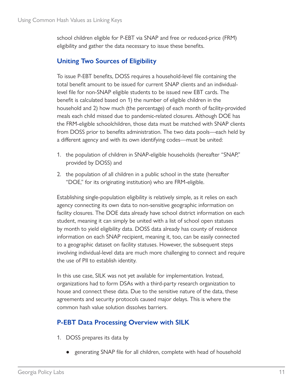school children eligible for P-EBT via SNAP and free or reduced-price (FRM) eligibility and gather the data necessary to issue these benefits.

### **Uniting Two Sources of Eligibility**

To issue P-EBT benefits, DOSS requires a household-level file containing the total benefit amount to be issued for current SNAP clients and an individuallevel file for non-SNAP eligible students to be issued new EBT cards. The benefit is calculated based on 1) the number of eligible children in the household and 2) how much (the percentage) of each month of facility-provided meals each child missed due to pandemic-related closures. Although DOE has the FRM-eligible schoolchildren, those data must be matched with SNAP clients from DOSS prior to benefits administration. The two data pools—each held by a different agency and with its own identifying codes—must be united:

- 1. the population of children in SNAP-eligible households (hereafter "SNAP," provided by DOSS) and
- 2. the population of all children in a public school in the state (hereafter "DOE," for its originating institution) who are FRM-eligible.

Establishing single-population eligibility is relatively simple, as it relies on each agency connecting its own data to non-sensitive geographic information on facility closures. The DOE data already have school district information on each student, meaning it can simply be united with a list of school open statuses by month to yield eligibility data. DOSS data already has county of residence information on each SNAP recipient, meaning it, too, can be easily connected to a geographic dataset on facility statuses. However, the subsequent steps involving individual-level data are much more challenging to connect and require the use of PII to establish identity.

In this use case, SILK was not yet available for implementation. Instead, organizations had to form DSAs with a third-party research organization to house and connect these data. Due to the sensitive nature of the data, these agreements and security protocols caused major delays. This is where the common hash value solution dissolves barriers.

### **P-EBT Data Processing Overview with SILK**

- 1. DOSS prepares its data by
	- generating SNAP file for all children, complete with head of household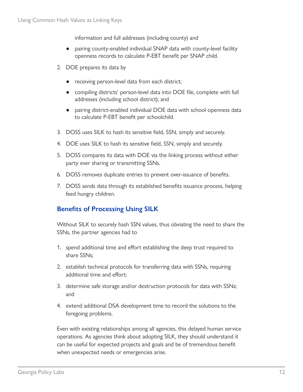information and full addresses (including county) and

- pairing county-enabled individual SNAP data with county-level facility openness records to calculate P-EBT benefit per SNAP child.
- 2. DOE prepares its data by
	- receiving person-level data from each district;
	- compiling districts' person-level data into DOE file, complete with full addresses (including school district); and
	- pairing district-enabled individual DOE data with school openness data to calculate P-EBT benefit per schoolchild.
- 3. DOSS uses SILK to hash its sensitive field, SSN, simply and securely.
- 4. DOE uses SILK to hash its sensitive field, SSN, simply and securely.
- 5. DOSS compares its data with DOE via the linking process without either party ever sharing or transmitting SSNs.
- 6. DOSS removes duplicate entries to prevent over-issuance of benefits.
- 7. DOSS sends data through its established benefits issuance process, helping feed hungry children.

### **Benefits of Processing Using SILK**

Without SILK to securely hash SSN values, thus obviating the need to share the SSNs, the partner agencies had to

- 1. spend additional time and effort establishing the deep trust required to share SSNs;
- 2. establish technical protocols for transferring data with SSNs, requiring additional time and effort;
- 3. determine safe storage and/or destruction protocols for data with SSNs; and
- 4. extend additional DSA development time to record the solutions to the foregoing problems.

Even with existing relationships among all agencies, this delayed human service operations. As agencies think about adopting SILK, they should understand it can be useful for expected projects and goals and be of tremendous benefit when unexpected needs or emergencies arise.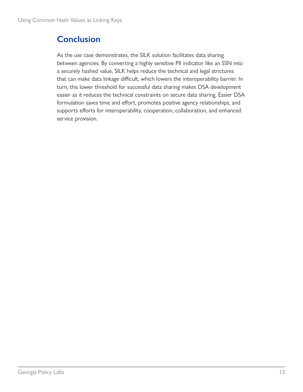# **Conclusion**

As the use case demonstrates, the SILK solution facilitates data sharing between agencies. By converting a highly sensitive PII indicator like an SSN into a securely hashed value, SILK helps reduce the technical and legal strictures that can make data linkage difficult, which lowers the interoperability barrier. In turn, this lower threshold for successful data sharing makes DSA development easier as it reduces the technical constraints on secure data sharing. Easier DSA formulation saves time and effort, promotes positive agency relationships, and supports efforts for interoperability, cooperation, collaboration, and enhanced service provision.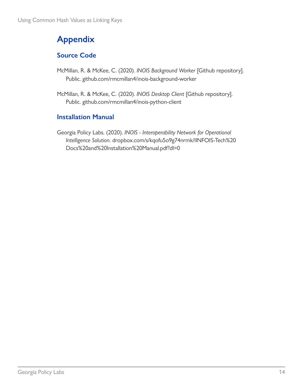# **Appendix**

### **Source Code**

- McMillan, R. & McKee, C. (2020). *INOIS Background Worker* [Github repository]. Public. [github.com/rmcmillan4/inois-background-worker](https://github.com/rmcmillan4/inois-background-worker)
- McMillan, R. & McKee, C. (2020). *INOIS Desktop Client* [Github repository]. Public. [github.com/rmcmillan4/inois-python-client](https://github.com/rmcmillan4/inois-python-client)

### **Installation Manual**

Georgia Policy Labs. (2020). *INOIS - Interoperability Network for Operational Intelligence Solution*. [dropbox.com/s/kqofu5o9g74nrmk/IINFOIS-Tech%20](https://www.dropbox.com/s/kqofu5o9g74nrmk/IINFOIS-Tech%20Docs%20and%20Installation%20Manual.pdf?dl=0) [Docs%20and%20Installation%20Manual.pdf?dl=0](https://www.dropbox.com/s/kqofu5o9g74nrmk/IINFOIS-Tech%20Docs%20and%20Installation%20Manual.pdf?dl=0)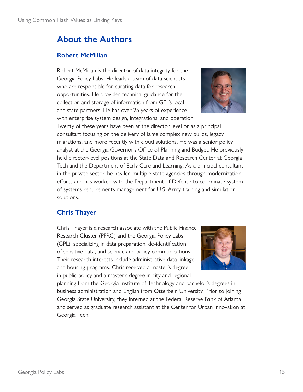# **About the Authors**

### **Robert McMillan**

Robert McMillan is the director of data integrity for the Georgia Policy Labs. He leads a team of data scientists who are responsible for curating data for research opportunities. He provides technical guidance for the collection and storage of information from GPL's local and state partners. He has over 25 years of experience with enterprise system design, integrations, and operation.



Twenty of these years have been at the director level or as a principal consultant focusing on the delivery of large complex new builds, legacy migrations, and more recently with cloud solutions. He was a senior policy analyst at the Georgia Governor's Office of Planning and Budget. He previously held director-level positions at the State Data and Research Center at Georgia Tech and the Department of Early Care and Learning. As a principal consultant in the private sector, he has led multiple state agencies through modernization efforts and has worked with the Department of Defense to coordinate systemof-systems requirements management for U.S. Army training and simulation solutions.

### **Chris Thayer**

Chris Thayer is a research associate with the Public Finance Research Cluster (PFRC) and the Georgia Policy Labs (GPL), specializing in data preparation, de-identification of sensitive data, and science and policy communications. Their research interests include administrative data linkage and housing programs. Chris received a master's degree in public policy and a master's degree in city and regional



planning from the Georgia Institute of Technology and bachelor's degrees in business administration and English from Otterbein University. Prior to joining Georgia State University, they interned at the Federal Reserve Bank of Atlanta and served as graduate research assistant at the Center for Urban Innovation at Georgia Tech.